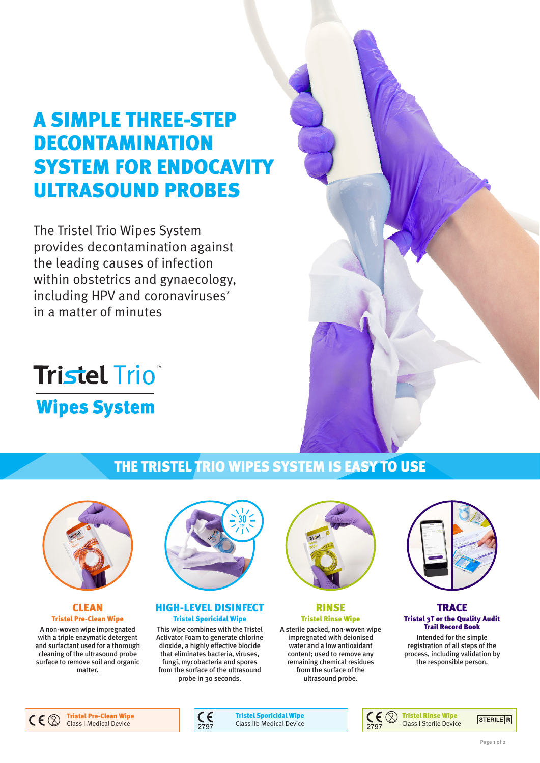## A SIMPLE THREE-STEP DECONTAMINATION SYSTEM FOR ENDOCAVITY ULTRASOUND PROBES

The Tristel Trio Wipes System provides decontamination against the leading causes of infection within obstetrics and gynaecology, including HPV and coronaviruses\* in a matter of minutes

# **Tristel Trio Wipes System**

#### THE TRISTEL TRIO WIPES SYSTEM IS EASY TO USE



#### **CLEAN** Tristel Pre-Clean Wipe

A non-woven wipe impregnated with a triple enzymatic detergent and surfactant used for a thorough cleaning of the ultrasound probe surface to remove soil and organic matter.



#### HIGH-LEVEL DISINFECT Tristel Sporicidal Wipe

This wipe combines with the Tristel Activator Foam to generate chlorine dioxide, a highly effective biocide that eliminates bacteria, viruses, fungi, mycobacteria and spores from the surface of the ultrasound probe in 30 seconds.



RINSE Tristel Rinse Wipe

A sterile packed, non-woven wipe impregnated with deionised water and a low antioxidant content; used to remove any remaining chemical residues from the surface of the ultrasound probe.



**TRACE** Tristel 3T or the Quality Audit Trail Record Book

Intended for the simple registration of all steps of the process, including validation by the responsible person.







Tristel Sporicidal Wipe Class IIb Medical Device